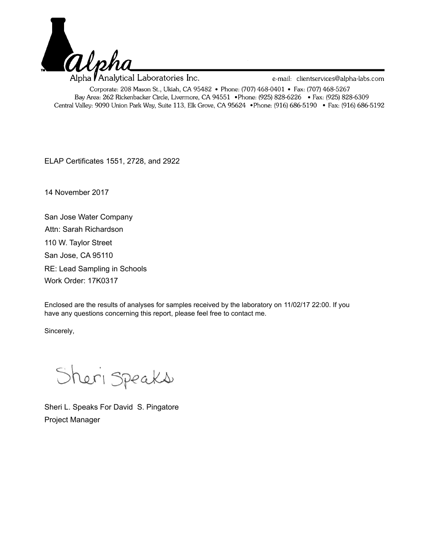

ELAP Certificates 1551, 2728, and 2922

14 November 2017

San Jose Water Company RE: Lead Sampling in Schools San Jose, CA 95110 110 W. Taylor Street Work Order: 17K0317 Attn: Sarah Richardson

Enclosed are the results of analyses for samples received by the laboratory on 11/02/17 22:00. If you have any questions concerning this report, please feel free to contact me.

Sincerely,

Sheri Speaks

Sheri L. Speaks For David S. Pingatore Project Manager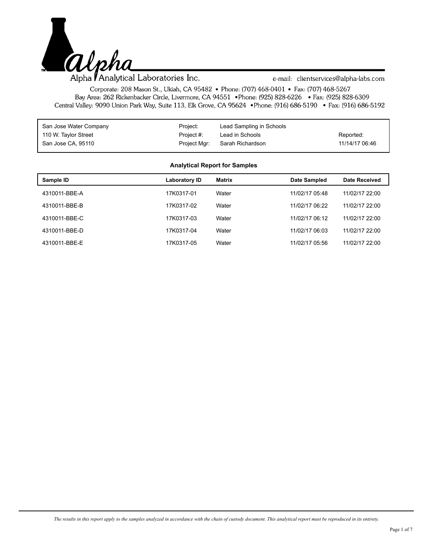

Alpha **Analytical Laboratories Inc.** 

e-mail: clientservices@alpha-labs.com

Corporate: 208 Mason St., Ukiah, CA 95482 • Phone: (707) 468-0401 • Fax: (707) 468-5267 Bay Area: 262 Rickenbacker Circle, Livermore, CA 94551 • Phone: (925) 828-6226 • Fax: (925) 828-6309 Central Valley: 9090 Union Park Way, Suite 113, Elk Grove, CA 95624 • Phone: (916) 686-5190 • Fax: (916) 686-5192

| San Jose Water Company | Project:     | Lead Sampling in Schools |                |
|------------------------|--------------|--------------------------|----------------|
| 110 W. Taylor Street   | Project #:   | Lead in Schools          | Reported:      |
| San Jose CA, 95110     | Project Mgr: | Sarah Richardson         | 11/14/17 06:46 |

#### **Analytical Report for Samples**

| Sample ID     | Laboratory ID | Matrix | Date Sampled   | <b>Date Received</b> |
|---------------|---------------|--------|----------------|----------------------|
| 4310011-BBE-A | 17K0317-01    | Water  | 11/02/17 05:48 | 11/02/17 22:00       |
| 4310011-BBE-B | 17K0317-02    | Water  | 11/02/17 06:22 | 11/02/17 22:00       |
| 4310011-BBE-C | 17K0317-03    | Water  | 11/02/17 06:12 | 11/02/17 22:00       |
| 4310011-BBE-D | 17K0317-04    | Water  | 11/02/17 06:03 | 11/02/17 22:00       |
| 4310011-BBE-E | 17K0317-05    | Water  | 11/02/17 05:56 | 11/02/17 22:00       |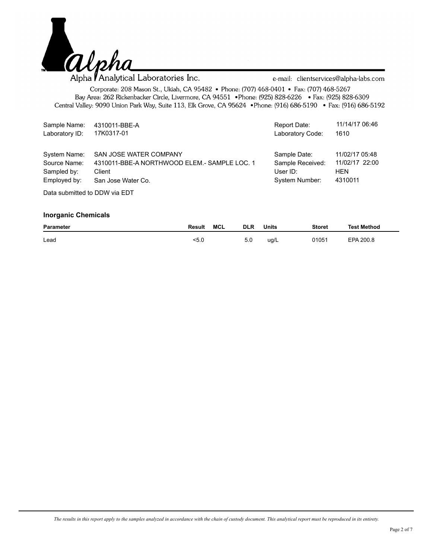

Alpha *Analytical* Laboratories Inc.

e-mail: clientservices@alpha-labs.com

Corporate: 208 Mason St., Ukiah, CA 95482 • Phone: (707) 468-0401 • Fax: (707) 468-5267 Bay Area: 262 Rickenbacker Circle, Livermore, CA 94551 • Phone: (925) 828-6226 • Fax: (925) 828-6309 Central Valley: 9090 Union Park Way, Suite 113, Elk Grove, CA 95624 • Phone: (916) 686-5190 • Fax: (916) 686-5192

| Sample Name:   | 4310011-BBE-A                                | Report Date:     | 11/14/17 06:46 |
|----------------|----------------------------------------------|------------------|----------------|
| Laboratory ID: | 17K0317-01                                   | Laboratory Code: | 1610           |
| System Name:   | SAN JOSE WATER COMPANY                       | Sample Date:     | 11/02/17 05:48 |
| Source Name:   | 4310011-BBE-A NORTHWOOD ELEM.- SAMPLE LOC. 1 | Sample Received: | 11/02/17 22:00 |
| Sampled by:    | Client                                       | User ID:         | <b>HEN</b>     |
| Employed by:   | San Jose Water Co.                           | System Number:   | 4310011        |
|                |                                              |                  |                |

Data submitted to DDW via EDT

| <b>Parameter</b> | Result | MCL | <b>DLR</b> | <b>Units</b> | <b>Storet</b> | Test Method |
|------------------|--------|-----|------------|--------------|---------------|-------------|
| Lead             | 5.0    |     | 5.0        | ug/L         | 01051         | EPA 200.8   |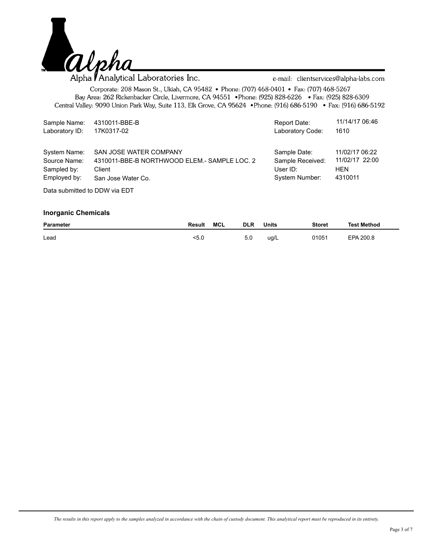

| Sample Name:                  | 4310011-BBE-B                                 | Report Date:     | 11/14/17 06:46 |
|-------------------------------|-----------------------------------------------|------------------|----------------|
| Laboratory ID:                | 17K0317-02                                    | Laboratory Code: | 1610           |
| System Name:                  | SAN JOSE WATER COMPANY                        | Sample Date:     | 11/02/17 06:22 |
| Source Name:                  | 4310011-BBE-B NORTHWOOD ELEM. - SAMPLE LOC. 2 | Sample Received: | 11/02/17 22:00 |
| Sampled by:                   | Client                                        | User $ID$ :      | <b>HEN</b>     |
| Employed by:                  | San Jose Water Co.                            | System Number:   | 4310011        |
| Deta submitted to DDM via FDT |                                               |                  |                |

Data submitted to DDW via EDT

| <b>Parameter</b> | Result | MCL | <b>DLR</b> | <b>Units</b> | <b>Storet</b> | <b>Test Method</b> |
|------------------|--------|-----|------------|--------------|---------------|--------------------|
| Lead             | <5.0   |     | 5.0        | ug/L         | 01051         | EPA 200.8          |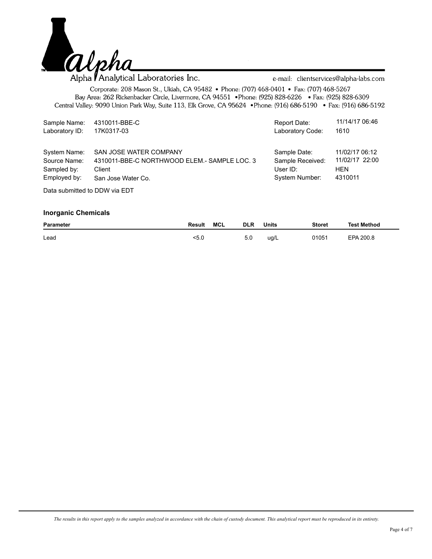

| Sample Name:   | 4310011-BBE-C                                | Report Date:     | 11/14/17 06:46 |  |  |  |  |
|----------------|----------------------------------------------|------------------|----------------|--|--|--|--|
| Laboratory ID: | 17K0317-03                                   | Laboratory Code: | 1610           |  |  |  |  |
| System Name:   | SAN JOSE WATER COMPANY                       | Sample Date:     | 11/02/17 06:12 |  |  |  |  |
| Source Name:   | 4310011-BBE-C NORTHWOOD ELEM.- SAMPLE LOC. 3 | Sample Received: | 11/02/17 22:00 |  |  |  |  |
| Sampled by:    | Client                                       | User $ID:$       | <b>HEN</b>     |  |  |  |  |
| Employed by:   | San Jose Water Co.                           | System Number:   | 4310011        |  |  |  |  |
|                | Deta submitted to DDM via FDT                |                  |                |  |  |  |  |

Data submitted to DDW via EDT

| <b>Parameter</b> | Result | MCL | <b>DLR</b> | Units | <b>Storet</b> | Test Method |
|------------------|--------|-----|------------|-------|---------------|-------------|
| Lead             | <5.0   |     | 5.0        | ug/L  | 01051         | EPA 200.8   |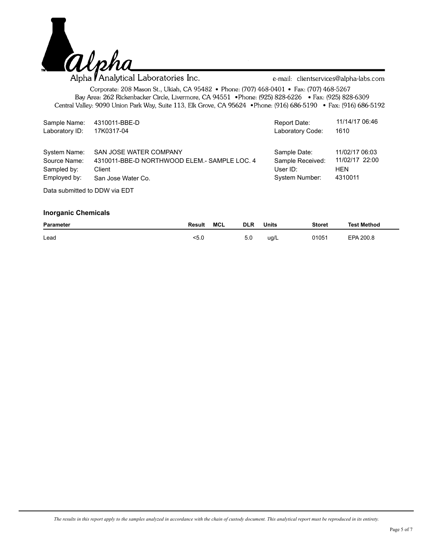

| Sample Name:   | 4310011-BBE-D                                | Report Date:     | 11/14/17 06:46 |  |  |  |  |
|----------------|----------------------------------------------|------------------|----------------|--|--|--|--|
| Laboratory ID: | 17K0317-04                                   | Laboratory Code: | 1610           |  |  |  |  |
| System Name:   | SAN JOSE WATER COMPANY                       | Sample Date:     | 11/02/17 06:03 |  |  |  |  |
| Source Name:   | 4310011-BBE-D NORTHWOOD ELEM.- SAMPLE LOC. 4 | Sample Received: | 11/02/17 22:00 |  |  |  |  |
| Sampled by:    | Client                                       | User $ID:$       | <b>HEN</b>     |  |  |  |  |
| Employed by:   | San Jose Water Co.                           | System Number:   | 4310011        |  |  |  |  |
|                | Deta submitted to DDM via FDT                |                  |                |  |  |  |  |

Data submitted to DDW via EDT

| <b>Parameter</b> | Result | MCL | <b>DLR</b> | <b>Units</b> | <b>Storet</b> | <b>Test Method</b> |
|------------------|--------|-----|------------|--------------|---------------|--------------------|
| Lead             | <5.0   |     | 5.0        | ug/L         | 01051         | EPA 200.8          |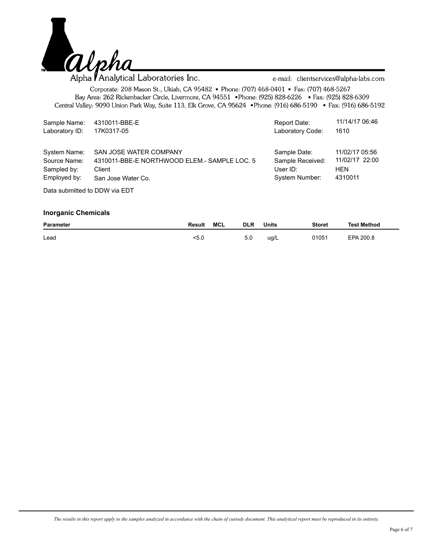

| Sample Name:                  | 4310011-BBE-E                                | Report Date:     | 11/14/17 06:46 |  |  |  |
|-------------------------------|----------------------------------------------|------------------|----------------|--|--|--|
| Laboratory ID:                | 17K0317-05                                   | Laboratory Code: | 1610           |  |  |  |
| System Name:                  | SAN JOSE WATER COMPANY                       | Sample Date:     | 11/02/17 05:56 |  |  |  |
| Source Name:                  | 4310011-BBE-E NORTHWOOD ELEM.- SAMPLE LOC. 5 | Sample Received: | 11/02/17 22:00 |  |  |  |
| Sampled by:                   | Client                                       | User $ID:$       | <b>HEN</b>     |  |  |  |
| Employed by:                  | San Jose Water Co.                           | System Number:   | 4310011        |  |  |  |
| Deta submitted to DDM via FDT |                                              |                  |                |  |  |  |

Data submitted to DDW via EDT

| <b>Parameter</b> | Result | MCL | <b>DLR</b> | <b>Units</b> | <b>Storet</b> | <b>Test Method</b> |
|------------------|--------|-----|------------|--------------|---------------|--------------------|
| Lead             | <5.0   |     | 5.0        | ug/L         | 01051         | EPA 200.8          |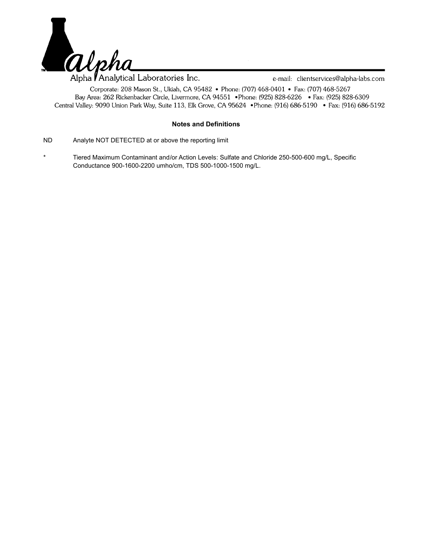

## **Notes and Definitions**

- ND Analyte NOT DETECTED at or above the reporting limit
- \* Tiered Maximum Contaminant and/or Action Levels: Sulfate and Chloride 250-500-600 mg/L, Specific Conductance 900-1600-2200 umho/cm, TDS 500-1000-1500 mg/L.